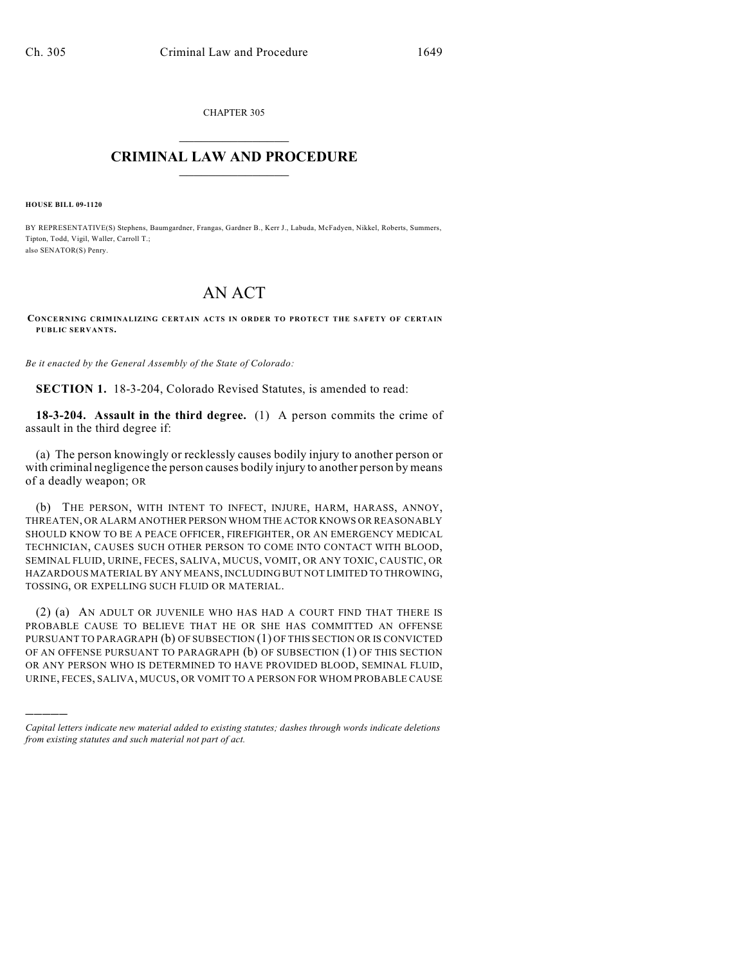CHAPTER 305  $\mathcal{L}_\text{max}$  . The set of the set of the set of the set of the set of the set of the set of the set of the set of the set of the set of the set of the set of the set of the set of the set of the set of the set of the set

## **CRIMINAL LAW AND PROCEDURE**  $\_$

**HOUSE BILL 09-1120**

)))))

BY REPRESENTATIVE(S) Stephens, Baumgardner, Frangas, Gardner B., Kerr J., Labuda, McFadyen, Nikkel, Roberts, Summers, Tipton, Todd, Vigil, Waller, Carroll T.; also SENATOR(S) Penry.

## AN ACT

**CONCERNING CRIMINALIZING CERTAIN ACTS IN ORDER TO PROTECT THE SAFETY OF CERTAIN PUBLIC SERVANTS.**

*Be it enacted by the General Assembly of the State of Colorado:*

**SECTION 1.** 18-3-204, Colorado Revised Statutes, is amended to read:

**18-3-204. Assault in the third degree.** (1) A person commits the crime of assault in the third degree if:

(a) The person knowingly or recklessly causes bodily injury to another person or with criminal negligence the person causes bodily injury to another person by means of a deadly weapon; OR

(b) THE PERSON, WITH INTENT TO INFECT, INJURE, HARM, HARASS, ANNOY, THREATEN, OR ALARM ANOTHER PERSON WHOM THE ACTOR KNOWS OR REASONABLY SHOULD KNOW TO BE A PEACE OFFICER, FIREFIGHTER, OR AN EMERGENCY MEDICAL TECHNICIAN, CAUSES SUCH OTHER PERSON TO COME INTO CONTACT WITH BLOOD, SEMINAL FLUID, URINE, FECES, SALIVA, MUCUS, VOMIT, OR ANY TOXIC, CAUSTIC, OR HAZARDOUS MATERIAL BY ANY MEANS, INCLUDING BUT NOT LIMITED TO THROWING, TOSSING, OR EXPELLING SUCH FLUID OR MATERIAL.

(2) (a) AN ADULT OR JUVENILE WHO HAS HAD A COURT FIND THAT THERE IS PROBABLE CAUSE TO BELIEVE THAT HE OR SHE HAS COMMITTED AN OFFENSE PURSUANT TO PARAGRAPH (b) OF SUBSECTION (1) OF THIS SECTION OR IS CONVICTED OF AN OFFENSE PURSUANT TO PARAGRAPH (b) OF SUBSECTION (1) OF THIS SECTION OR ANY PERSON WHO IS DETERMINED TO HAVE PROVIDED BLOOD, SEMINAL FLUID, URINE, FECES, SALIVA, MUCUS, OR VOMIT TO A PERSON FOR WHOM PROBABLE CAUSE

*Capital letters indicate new material added to existing statutes; dashes through words indicate deletions from existing statutes and such material not part of act.*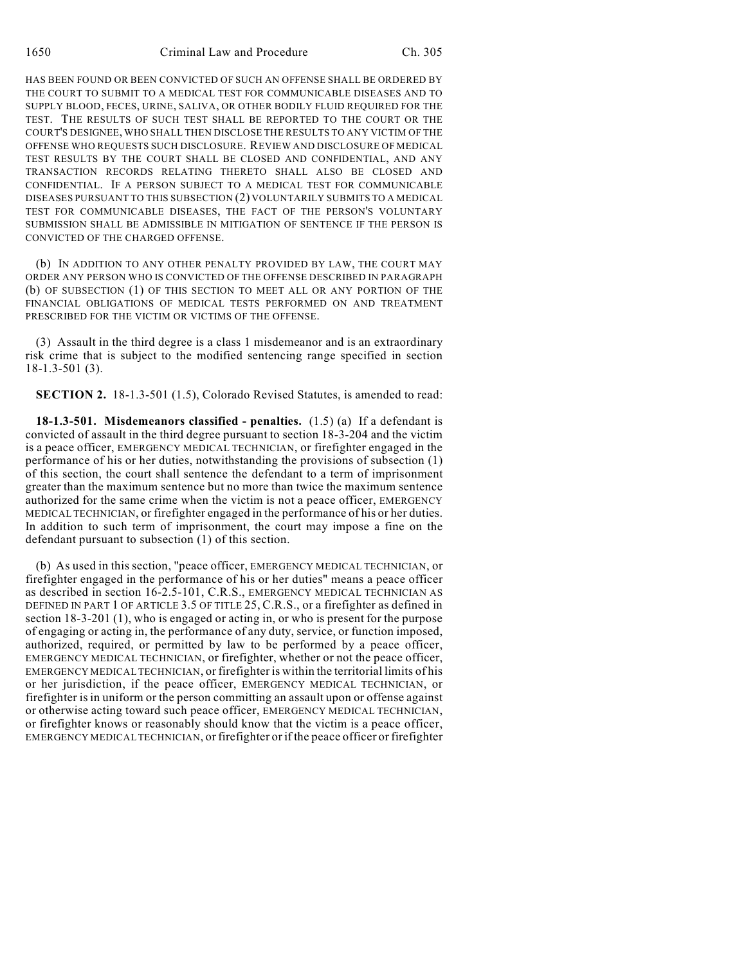HAS BEEN FOUND OR BEEN CONVICTED OF SUCH AN OFFENSE SHALL BE ORDERED BY THE COURT TO SUBMIT TO A MEDICAL TEST FOR COMMUNICABLE DISEASES AND TO SUPPLY BLOOD, FECES, URINE, SALIVA, OR OTHER BODILY FLUID REQUIRED FOR THE TEST. THE RESULTS OF SUCH TEST SHALL BE REPORTED TO THE COURT OR THE COURT'S DESIGNEE, WHO SHALL THEN DISCLOSE THE RESULTS TO ANY VICTIM OF THE OFFENSE WHO REQUESTS SUCH DISCLOSURE. REVIEW AND DISCLOSURE OF MEDICAL TEST RESULTS BY THE COURT SHALL BE CLOSED AND CONFIDENTIAL, AND ANY TRANSACTION RECORDS RELATING THERETO SHALL ALSO BE CLOSED AND CONFIDENTIAL. IF A PERSON SUBJECT TO A MEDICAL TEST FOR COMMUNICABLE DISEASES PURSUANT TO THIS SUBSECTION (2) VOLUNTARILY SUBMITS TO A MEDICAL TEST FOR COMMUNICABLE DISEASES, THE FACT OF THE PERSON'S VOLUNTARY SUBMISSION SHALL BE ADMISSIBLE IN MITIGATION OF SENTENCE IF THE PERSON IS CONVICTED OF THE CHARGED OFFENSE.

(b) IN ADDITION TO ANY OTHER PENALTY PROVIDED BY LAW, THE COURT MAY ORDER ANY PERSON WHO IS CONVICTED OF THE OFFENSE DESCRIBED IN PARAGRAPH (b) OF SUBSECTION (1) OF THIS SECTION TO MEET ALL OR ANY PORTION OF THE FINANCIAL OBLIGATIONS OF MEDICAL TESTS PERFORMED ON AND TREATMENT PRESCRIBED FOR THE VICTIM OR VICTIMS OF THE OFFENSE.

(3) Assault in the third degree is a class 1 misdemeanor and is an extraordinary risk crime that is subject to the modified sentencing range specified in section 18-1.3-501 (3).

**SECTION 2.** 18-1.3-501 (1.5), Colorado Revised Statutes, is amended to read:

**18-1.3-501. Misdemeanors classified - penalties.** (1.5) (a) If a defendant is convicted of assault in the third degree pursuant to section 18-3-204 and the victim is a peace officer, EMERGENCY MEDICAL TECHNICIAN, or firefighter engaged in the performance of his or her duties, notwithstanding the provisions of subsection (1) of this section, the court shall sentence the defendant to a term of imprisonment greater than the maximum sentence but no more than twice the maximum sentence authorized for the same crime when the victim is not a peace officer, EMERGENCY MEDICAL TECHNICIAN, or firefighter engaged in the performance of his or her duties. In addition to such term of imprisonment, the court may impose a fine on the defendant pursuant to subsection (1) of this section.

(b) As used in this section, "peace officer, EMERGENCY MEDICAL TECHNICIAN, or firefighter engaged in the performance of his or her duties" means a peace officer as described in section 16-2.5-101, C.R.S., EMERGENCY MEDICAL TECHNICIAN AS DEFINED IN PART 1 OF ARTICLE 3.5 OF TITLE 25, C.R.S., or a firefighter as defined in section 18-3-201 (1), who is engaged or acting in, or who is present for the purpose of engaging or acting in, the performance of any duty, service, or function imposed, authorized, required, or permitted by law to be performed by a peace officer, EMERGENCY MEDICAL TECHNICIAN, or firefighter, whether or not the peace officer, EMERGENCY MEDICAL TECHNICIAN, or firefighter is within the territorial limits of his or her jurisdiction, if the peace officer, EMERGENCY MEDICAL TECHNICIAN, or firefighter is in uniform or the person committing an assault upon or offense against or otherwise acting toward such peace officer, EMERGENCY MEDICAL TECHNICIAN, or firefighter knows or reasonably should know that the victim is a peace officer, EMERGENCY MEDICAL TECHNICIAN, or firefighter or if the peace officer or firefighter